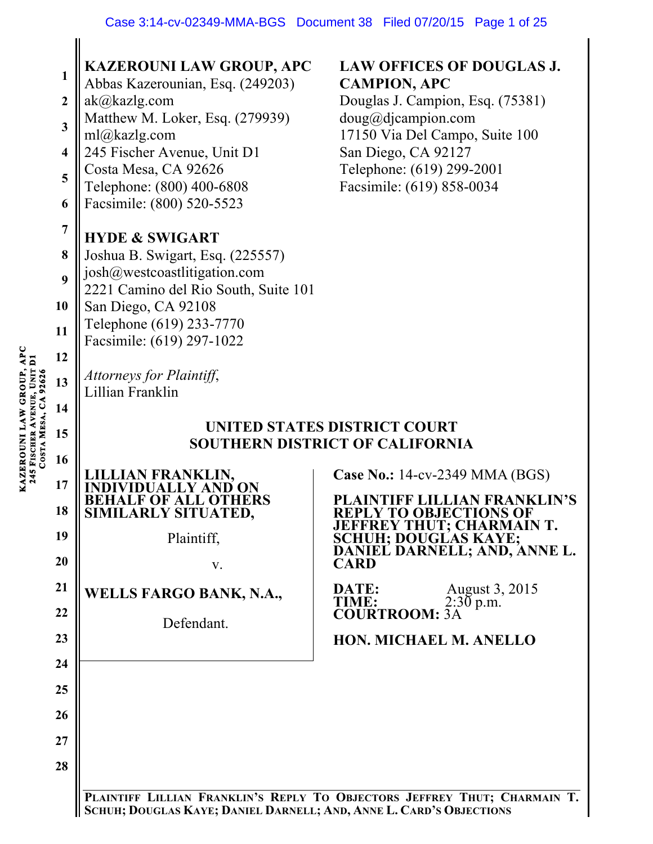| $\mathbf{1}$<br>$\boldsymbol{2}$<br>$\mathbf{3}$<br>$\overline{\mathbf{4}}$<br>5<br>6<br>$\overline{7}$<br>8<br>9<br>10<br>11<br>12<br>COSTA MESA, CA 92626<br>13<br>14<br>15 | <b>KAZEROUNI LAW GROUP, APC</b><br>Abbas Kazerounian, Esq. (249203)<br>ak@kazlg.com<br>Matthew M. Loker, Esq. (279939)<br>ml@kazlg.com<br>245 Fischer Avenue, Unit D1<br>Costa Mesa, CA 92626<br>Telephone: (800) 400-6808<br>Facsimile: (800) 520-5523<br><b>HYDE &amp; SWIGART</b><br>Joshua B. Swigart, Esq. (225557)<br>josh@westcoastlitigation.com<br>2221 Camino del Rio South, Suite 101<br>San Diego, CA 92108<br>Telephone (619) 233-7770<br>Facsimile: (619) 297-1022<br>Attorneys for Plaintiff,<br>Lillian Franklin | <b>LAW OFFICES OF DOUGLAS J.</b><br><b>CAMPION, APC</b><br>Douglas J. Campion, Esq. (75381)<br>doug@djcampion.com<br>17150 Via Del Campo, Suite 100<br>San Diego, CA 92127<br>Telephone: (619) 299-2001<br>Facsimile: (619) 858-0034<br>UNITED STATES DISTRICT COURT<br>SOUTHERN DISTRICT OF CALIFORNIA                            |
|-------------------------------------------------------------------------------------------------------------------------------------------------------------------------------|----------------------------------------------------------------------------------------------------------------------------------------------------------------------------------------------------------------------------------------------------------------------------------------------------------------------------------------------------------------------------------------------------------------------------------------------------------------------------------------------------------------------------------|------------------------------------------------------------------------------------------------------------------------------------------------------------------------------------------------------------------------------------------------------------------------------------------------------------------------------------|
| 16<br>17<br>18<br>19<br>20<br>21<br>22<br>23<br>24<br>25<br>26<br>27<br>28                                                                                                    | IAN FRANKLIN,<br><b>HALF OF ALL OTHERS</b><br>SIMILARLY SITUATED,<br>Plaintiff,<br>V.<br><b>WELLS FARGO BANK, N.A.,</b><br>Defendant.<br>$\mathbf{D}_{\mathbf{D}\mathbf{D}}$ $\mathbf{V}$ $\mathbf{L}\mathbf{A}$                                                                                                                                                                                                                                                                                                                 | <b>Case No.: 14-cv-2349 MMA (BGS)</b><br><b>PLAINTIFF LILLIAN FRANKLIN'S</b><br><b>REPLY TO OBJECTIONS OF</b><br>JEFFREY THUT; CHARMAIN T.<br>SCHUH; DOUGLAS KAYE;<br>DANIEL DARNELL; AND, ANNE L.<br><b>CARD</b><br>August 3, 2015<br>2:30 p.m.<br>DATE:<br><b>TIME:</b><br><b>COURTROOM: 3A</b><br><b>HON. MICHAEL M. ANELLO</b> |

**PLAINTIFF LILLIAN FRANKLIN'S REPLY TO OBJECTORS JEFFREY THUT; CHARMAIN T. SCHUH; DOUGLAS KAYE; DANIEL DARNELL; AND, ANNE L. CARD'S OBJECTIONS**

KAZEROUNI LAW GROUP, APC<br>245 FISCHER AVENUE, UNIT DI **KAZEROUNI LAW GROUP, APC AVENUE, UNIT D1 245 FISCHER**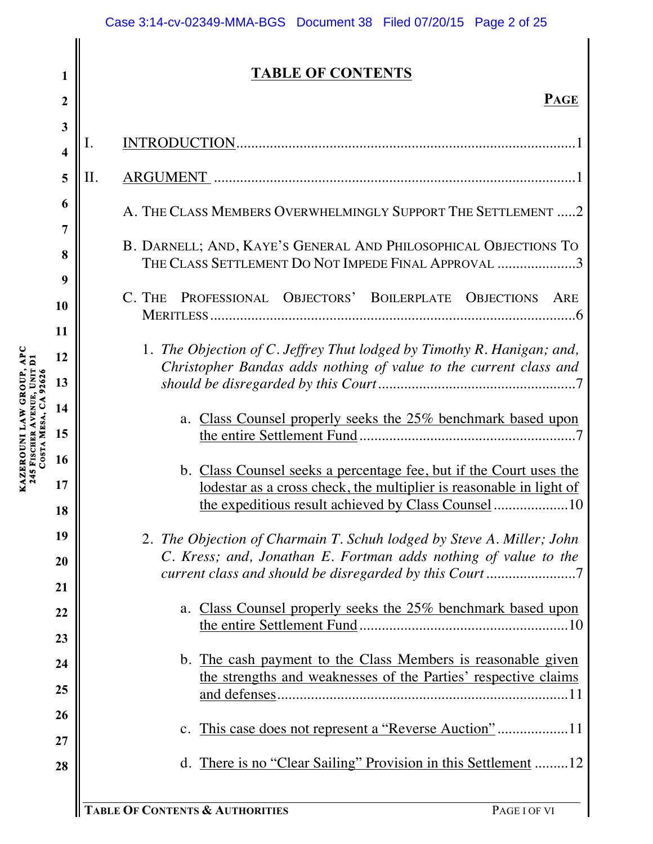#### Case 3:14-cv-02349-MMA-BGS Document 38 Filed 07/20/15 Page 2 of 25

# **TABLE OF CONTENTS**

| 3<br>4   |                                                                                                                                             |
|----------|---------------------------------------------------------------------------------------------------------------------------------------------|
| 5        | Π.                                                                                                                                          |
| 6<br>7   | A. THE CLASS MEMBERS OVERWHELMINGLY SUPPORT THE SETTLEMENT  2                                                                               |
| 8<br>9   | B. DARNELL; AND, KAYE'S GENERAL AND PHILOSOPHICAL OBJECTIONS TO<br>THE CLASS SETTLEMENT DO NOT IMPEDE FINAL APPROVAL 3                      |
| 10       | PROFESSIONAL OBJECTORS' BOILERPLATE OBJECTIONS<br>C. THE<br>ARE                                                                             |
| 11<br>12 | 1. The Objection of C. Jeffrey Thut lodged by Timothy R. Hanigan; and,<br>Christopher Bandas adds nothing of value to the current class and |
| 13       |                                                                                                                                             |
| 14       | a. Class Counsel properly seeks the 25% benchmark based upon                                                                                |
| 15       |                                                                                                                                             |
| 16       |                                                                                                                                             |
| 17       | b. Class Counsel seeks a percentage fee, but if the Court uses the<br>lodestar as a cross check, the multiplier is reasonable in light of   |
| 18       | the expeditious result achieved by Class Counsel 10                                                                                         |
| 19       | 2. The Objection of Charmain T. Schuh lodged by Steve A. Miller; John                                                                       |
| 20       | C. Kress; and, Jonathan E. Fortman adds nothing of value to the                                                                             |
| 21       |                                                                                                                                             |
| 22       | Class Counsel properly seeks the 25% benchmark based upon<br>a.                                                                             |
| 23       |                                                                                                                                             |
| 24       | b. The cash payment to the Class Members is reasonable given                                                                                |
| 25       | the strengths and weaknesses of the Parties' respective claims                                                                              |
| 26       |                                                                                                                                             |
| 27       |                                                                                                                                             |
| 28       | There is no "Clear Sailing" Provision in this Settlement 12<br>$d_{\cdot}$                                                                  |
|          |                                                                                                                                             |

**1**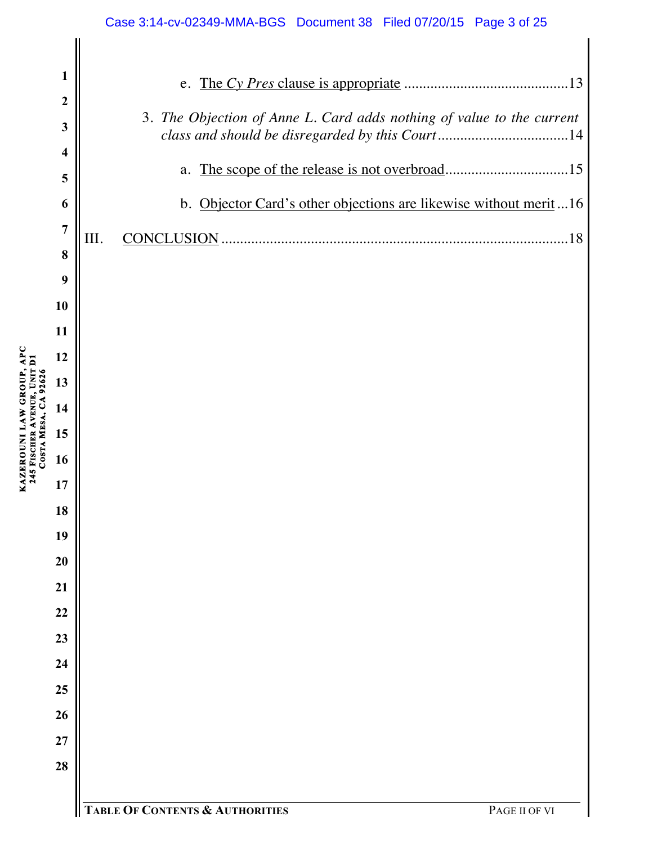#### Case 3:14-cv-02349-MMA-BGS Document 38 Filed 07/20/15 Page 3 of 25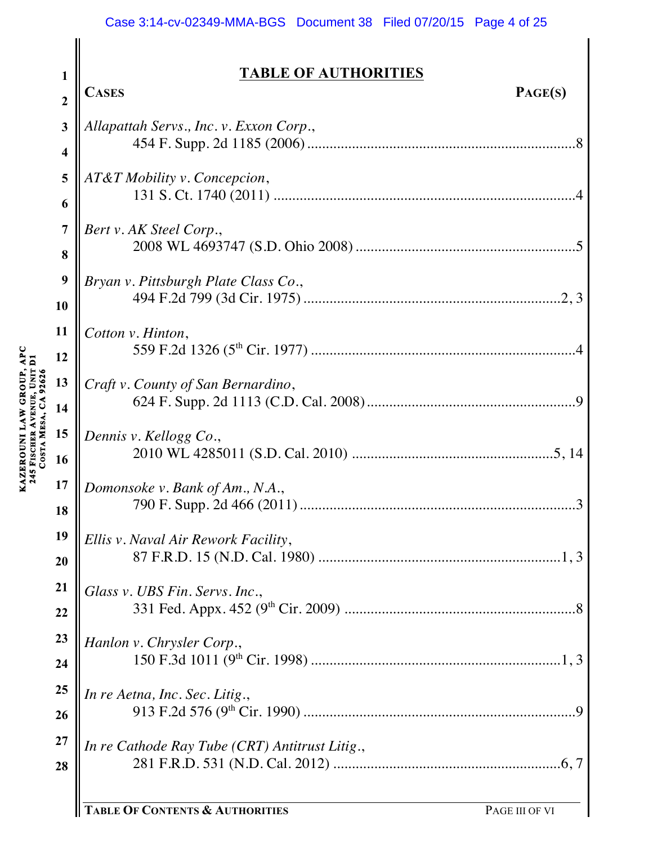#### Case 3:14-cv-02349-MMA-BGS Document 38 Filed 07/20/15 Page 4 of 25

**TABLE OF AUTHORITIES**

| $\overline{2}$          | PAGE(S)<br><b>CASES</b>                        |
|-------------------------|------------------------------------------------|
| 3                       | Allapattah Servs., Inc. v. Exxon Corp.,        |
| $\overline{\mathbf{4}}$ |                                                |
| 5                       | AT&T Mobility v. Concepcion,                   |
| 6                       |                                                |
| $\overline{7}$          | Bert v. AK Steel Corp.,                        |
| 8                       |                                                |
| 9                       | Bryan v. Pittsburgh Plate Class Co.,           |
| 10                      |                                                |
| 11                      | Cotton v. Hinton,                              |
| 12                      |                                                |
| 13                      | Craft v. County of San Bernardino,             |
| 14                      |                                                |
| 15                      | Dennis v. Kellogg Co.,                         |
| 16                      |                                                |
| 17                      | Domonsoke v. Bank of Am., N.A.,                |
| 18                      |                                                |
| 19                      | Ellis v. Naval Air Rework Facility,            |
| 20                      |                                                |
| 21                      | Glass v. UBS Fin. Servs. Inc.,                 |
| 22                      |                                                |
| 23                      | Hanlon v. Chrysler Corp.,                      |
| 24                      |                                                |
| 25                      | In re Aetna, Inc. Sec. Litig.,                 |
| 26                      |                                                |
| 27                      | In re Cathode Ray Tube (CRT) Antitrust Litig., |
| 28                      |                                                |
|                         |                                                |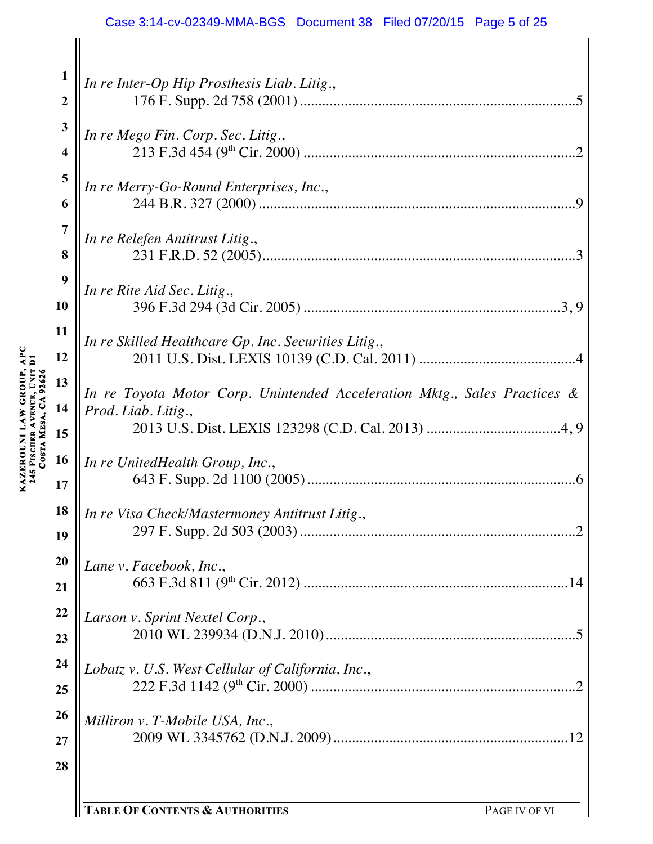#### Case 3:14-cv-02349-MMA-BGS Document 38 Filed 07/20/15 Page 5 of 25

| $\mathbf{1}$            | In re Inter-Op Hip Prosthesis Liab. Litig.,                               |
|-------------------------|---------------------------------------------------------------------------|
| $\boldsymbol{2}$        |                                                                           |
| 3                       | In re Mego Fin. Corp. Sec. Litig.,                                        |
| $\overline{\mathbf{4}}$ |                                                                           |
| 5                       | In re Merry-Go-Round Enterprises, Inc.,                                   |
| 6                       |                                                                           |
| 7                       | In re Relefen Antitrust Litig.,                                           |
| 8                       |                                                                           |
| 9                       | In re Rite Aid Sec. Litig.,                                               |
| 10                      |                                                                           |
| 11                      | In re Skilled Healthcare Gp. Inc. Securities Litig.,                      |
| 12                      |                                                                           |
| 13                      | In re Toyota Motor Corp. Unintended Acceleration Mktg., Sales Practices & |
| 14<br>15                | Prod. Liab. Litig.,                                                       |
| 16                      |                                                                           |
| 17                      | In re UnitedHealth Group, Inc.,                                           |
| 18                      | In re Visa Check/Mastermoney Antitrust Litig.,                            |
| 19                      |                                                                           |
| 20                      | Lane v. Facebook, Inc.,                                                   |
| 21                      |                                                                           |
| 22                      | Larson v. Sprint Nextel Corp.,                                            |
| 23                      |                                                                           |
| 24                      | Lobatz v. U.S. West Cellular of California, Inc.,                         |
| 25                      |                                                                           |
| 26                      | Milliron v. T-Mobile USA, Inc.,                                           |
| 27                      |                                                                           |
| 28                      |                                                                           |
|                         |                                                                           |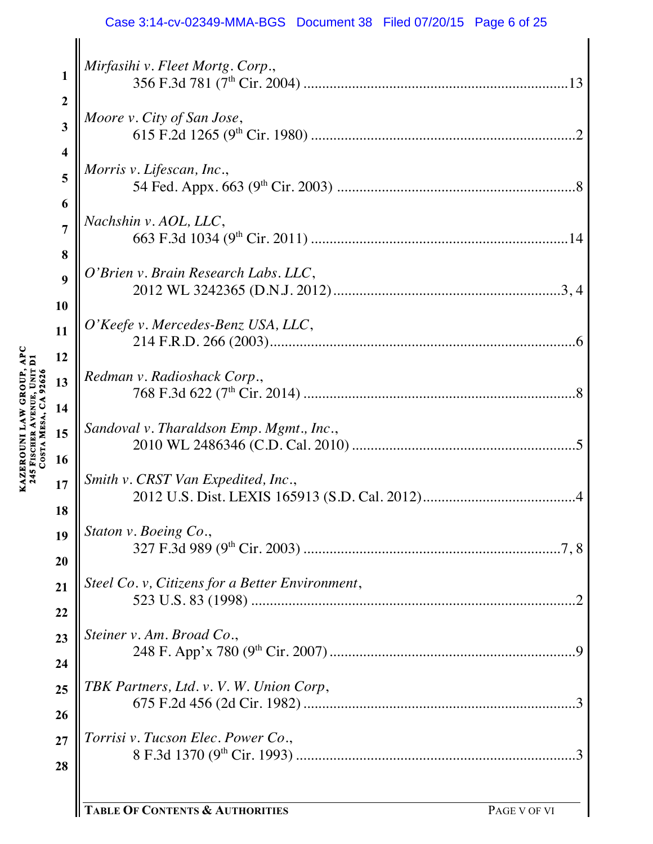#### Case 3:14-cv-02349-MMA-BGS Document 38 Filed 07/20/15 Page 6 of 25

|                         | Mirfasihi v. Fleet Mortg. Corp.,                    |
|-------------------------|-----------------------------------------------------|
| $\mathbf{1}$            |                                                     |
| $\boldsymbol{2}$        |                                                     |
| $\overline{\mathbf{3}}$ | Moore v. City of San Jose,                          |
| 4                       | $\overline{2}$                                      |
|                         | Morris v. Lifescan, Inc.,                           |
| 5                       |                                                     |
| 6                       |                                                     |
| $\overline{7}$          | Nachshin v. AOL, LLC,                               |
| 8                       |                                                     |
| 9                       | O'Brien v. Brain Research Labs. LLC,                |
|                         |                                                     |
| 10                      | O'Keefe v. Mercedes-Benz USA, LLC,                  |
| 11                      |                                                     |
| 12                      |                                                     |
| 13                      | Redman v. Radioshack Corp.,                         |
| 14                      | .8                                                  |
|                         | Sandoval v. Tharaldson Emp. Mgmt., Inc.,            |
| 15                      |                                                     |
| 16                      |                                                     |
| 17                      | Smith v. CRST Van Expedited, Inc.,                  |
| 18                      |                                                     |
| 19                      | Staton v. Boeing Co.,                               |
| 20                      |                                                     |
|                         | Steel Co. v, Citizens for a Better Environment,     |
| 21                      |                                                     |
| 22                      |                                                     |
| 23                      | Steiner v. Am. Broad Co.,                           |
| 24                      |                                                     |
| 25                      | TBK Partners, Ltd. v. V. W. Union Corp,             |
|                         |                                                     |
| 26                      |                                                     |
| 27                      | Torrisi v. Tucson Elec. Power Co.,<br>$\mathcal{E}$ |
| 28                      |                                                     |
|                         |                                                     |

**KAZEROUNI LAW GROUP, APC** 

**245 FISCHER** 

**AVENUE, UNIT D1** 

KAZEROUNI LAW GROUP, APC<br>245 FISCHER AVENUE, UNIT D1<br>COSTA MESA, CA 92626 **MESA, CA 92626**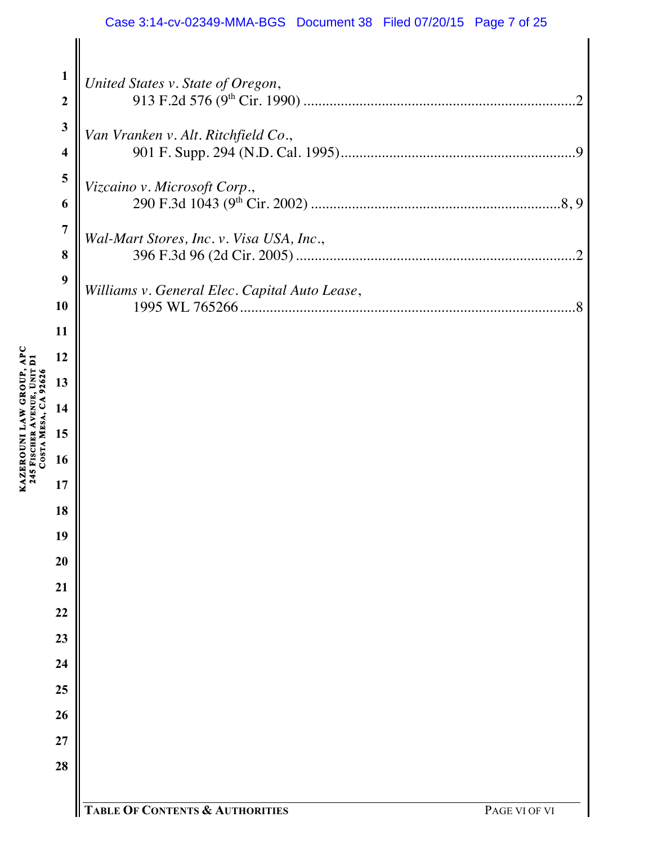#### Case 3:14-cv-02349-MMA-BGS Document 38 Filed 07/20/15 Page 7 of 25

| $\mathbf{1}$            | United States v. State of Oregon,             |  |
|-------------------------|-----------------------------------------------|--|
| $\boldsymbol{2}$        |                                               |  |
| $\mathbf{3}$            | Van Vranken v. Alt. Ritchfield Co.,           |  |
| $\overline{\mathbf{4}}$ |                                               |  |
| 5                       | Vizcaino v. Microsoft Corp.,                  |  |
| 6                       |                                               |  |
| $\overline{7}$          | Wal-Mart Stores, Inc. v. Visa USA, Inc.,      |  |
| 8                       |                                               |  |
| 9                       | Williams v. General Elec. Capital Auto Lease, |  |
| 10                      |                                               |  |
| 11                      |                                               |  |
| 12                      |                                               |  |
| 13                      |                                               |  |
| 14                      |                                               |  |
| 15                      |                                               |  |
| 16                      |                                               |  |
| 17                      |                                               |  |
| 18                      |                                               |  |
| 19                      |                                               |  |
| 20                      |                                               |  |
| $\overline{21}$         |                                               |  |
| $\overline{22}$         |                                               |  |
| 23                      |                                               |  |
| 24                      |                                               |  |
| 25                      |                                               |  |
| 26                      |                                               |  |
| $\overline{27}$         |                                               |  |
| 28                      |                                               |  |
|                         |                                               |  |

**KAZEROUNI LAW GROUP, APC** 

**245 FISCHER** 

**AVENUE, UNIT D1** 

KAZEROUNI LAW GROUP, APC<br>245 FISCHER AVENUE, UNIT D1<br>COSTA MESA, CA 92626 **MESA, CA 92626**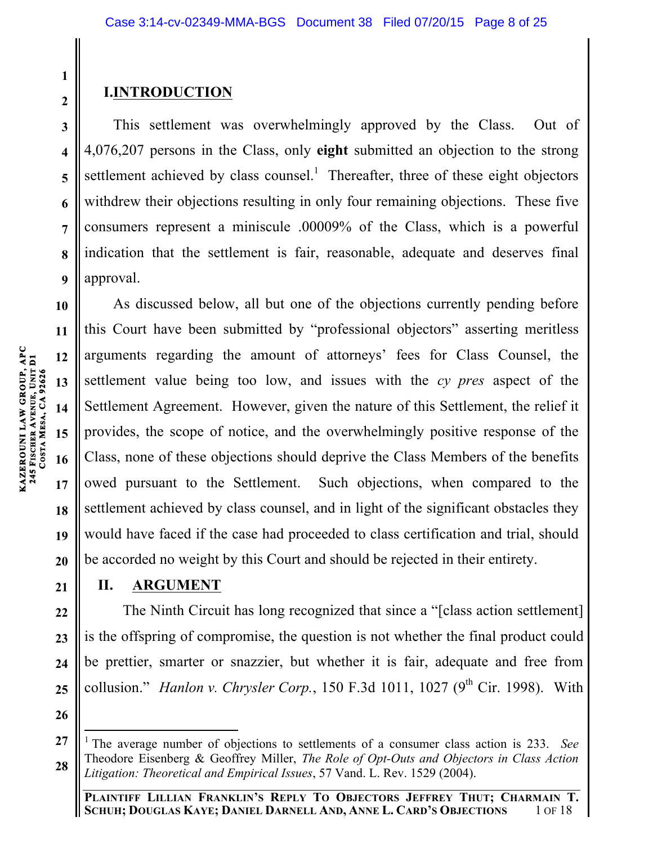# **I.INTRODUCTION**

This settlement was overwhelmingly approved by the Class. Out of 4,076,207 persons in the Class, only **eight** submitted an objection to the strong settlement achieved by class counsel.<sup>1</sup> Thereafter, three of these eight objectors withdrew their objections resulting in only four remaining objections. These five consumers represent a miniscule .00009% of the Class, which is a powerful indication that the settlement is fair, reasonable, adequate and deserves final approval.

As discussed below, all but one of the objections currently pending before this Court have been submitted by "professional objectors" asserting meritless arguments regarding the amount of attorneys' fees for Class Counsel, the settlement value being too low, and issues with the *cy pres* aspect of the Settlement Agreement. However, given the nature of this Settlement, the relief it provides, the scope of notice, and the overwhelmingly positive response of the Class, none of these objections should deprive the Class Members of the benefits owed pursuant to the Settlement. Such objections, when compared to the settlement achieved by class counsel, and in light of the significant obstacles they would have faced if the case had proceeded to class certification and trial, should be accorded no weight by this Court and should be rejected in their entirety.

## **II. ARGUMENT**

The Ninth Circuit has long recognized that since a "[class action settlement] is the offspring of compromise, the question is not whether the final product could be prettier, smarter or snazzier, but whether it is fair, adequate and free from collusion." *Hanlon v. Chrysler Corp.*, 150 F.3d 1011, 1027 (9<sup>th</sup> Cir. 1998). With

**1**

**2**

**3**

**4**

**5**

**6**

**7**

**8**

**9**

**10**

**11**

**12**

**13**

**14**

**15**

**16**

<sup>1</sup> The average number of objections to settlements of a consumer class action is 233. *See*  Theodore Eisenberg & Geoffrey Miller, *The Role of Opt-Outs and Objectors in Class Action Litigation: Theoretical and Empirical Issues*, 57 Vand. L. Rev. 1529 (2004).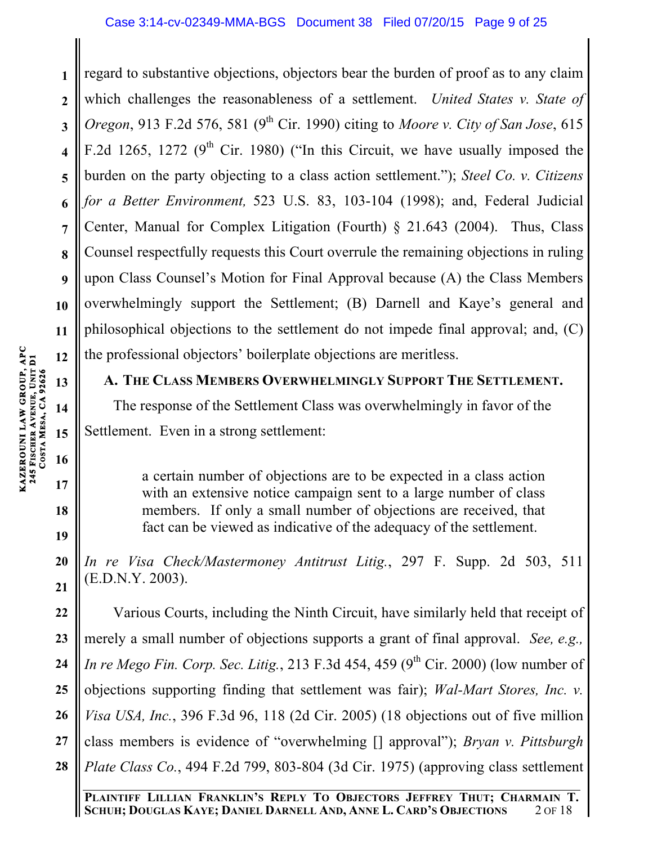**1 2 3 4 5 6 7 8 9 10 11 12** regard to substantive objections, objectors bear the burden of proof as to any claim which challenges the reasonableness of a settlement. *United States v. State of Oregon*, 913 F.2d 576, 581 (9<sup>th</sup> Cir. 1990) citing to *Moore v. City of San Jose*, 615 F.2d 1265, 1272 ( $9<sup>th</sup>$  Cir. 1980) ("In this Circuit, we have usually imposed the burden on the party objecting to a class action settlement."); *Steel Co. v. Citizens for a Better Environment,* 523 U.S. 83, 103-104 (1998); and, Federal Judicial Center, Manual for Complex Litigation (Fourth) § 21.643 (2004). Thus, Class Counsel respectfully requests this Court overrule the remaining objections in ruling upon Class Counsel's Motion for Final Approval because (A) the Class Members overwhelmingly support the Settlement; (B) Darnell and Kaye's general and philosophical objections to the settlement do not impede final approval; and, (C) the professional objectors' boilerplate objections are meritless.

## **A. THE CLASS MEMBERS OVERWHELMINGLY SUPPORT THE SETTLEMENT.**

The response of the Settlement Class was overwhelmingly in favor of the Settlement. Even in a strong settlement:

a certain number of objections are to be expected in a class action with an extensive notice campaign sent to a large number of class members. If only a small number of objections are received, that fact can be viewed as indicative of the adequacy of the settlement.

*In re Visa Check/Mastermoney Antitrust Litig.*, 297 F. Supp. 2d 503, 511 (E.D.N.Y. 2003).

**22 23 24 25 26 27 28** Various Courts, including the Ninth Circuit, have similarly held that receipt of merely a small number of objections supports a grant of final approval. *See, e.g., In re Mego Fin. Corp. Sec. Litig.*, 213 F.3d 454, 459 (9<sup>th</sup> Cir. 2000) (low number of objections supporting finding that settlement was fair); *Wal-Mart Stores, Inc. v. Visa USA, Inc.*, 396 F.3d 96, 118 (2d Cir. 2005) (18 objections out of five million class members is evidence of "overwhelming [] approval"); *Bryan v. Pittsburgh Plate Class Co.*, 494 F.2d 799, 803-804 (3d Cir. 1975) (approving class settlement

**PLAINTIFF LILLIAN FRANKLIN'S REPLY TO OBJECTORS JEFFREY THUT; CHARMAIN T. SCHUH; DOUGLAS KAYE; DANIEL DARNELL AND, ANNE L. CARD'S OBJECTIONS** 2 OF 18

**18**

**19**

**20**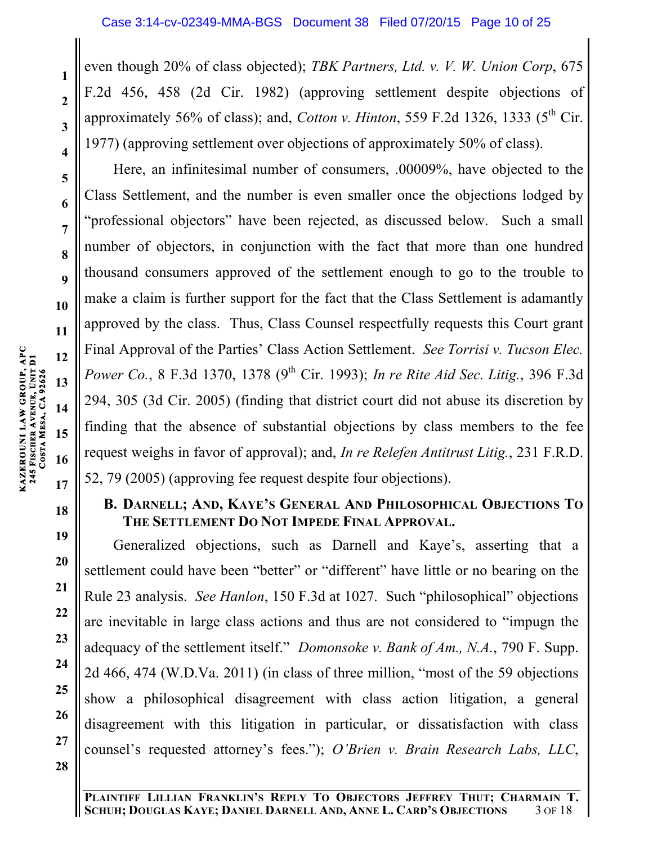even though 20% of class objected); *TBK Partners, Ltd. v. V. W. Union Corp*, 675 F.2d 456, 458 (2d Cir. 1982) (approving settlement despite objections of approximately 56% of class); and, *Cotton v. Hinton*, 559 F.2d 1326, 1333 ( $5<sup>th</sup>$  Cir. 1977) (approving settlement over objections of approximately 50% of class).

Here, an infinitesimal number of consumers, .00009%, have objected to the Class Settlement, and the number is even smaller once the objections lodged by "professional objectors" have been rejected, as discussed below. Such a small number of objectors, in conjunction with the fact that more than one hundred thousand consumers approved of the settlement enough to go to the trouble to make a claim is further support for the fact that the Class Settlement is adamantly approved by the class. Thus, Class Counsel respectfully requests this Court grant Final Approval of the Parties' Class Action Settlement. *See Torrisi v. Tucson Elec. Power Co.*, 8 F.3d 1370, 1378 (9<sup>th</sup> Cir. 1993); *In re Rite Aid Sec. Litig.*, 396 F.3d 294, 305 (3d Cir. 2005) (finding that district court did not abuse its discretion by finding that the absence of substantial objections by class members to the fee request weighs in favor of approval); and, *In re Relefen Antitrust Litig.*, 231 F.R.D. 52, 79 (2005) (approving fee request despite four objections).

# **B. DARNELL; AND, KAYE'S GENERAL AND PHILOSOPHICAL OBJECTIONS TO THE SETTLEMENT DO NOT IMPEDE FINAL APPROVAL.**

Generalized objections, such as Darnell and Kaye's, asserting that a settlement could have been "better" or "different" have little or no bearing on the Rule 23 analysis. *See Hanlon*, 150 F.3d at 1027. Such "philosophical" objections are inevitable in large class actions and thus are not considered to "impugn the adequacy of the settlement itself." *Domonsoke v. Bank of Am., N.A.*, 790 F. Supp. 2d 466, 474 (W.D.Va. 2011) (in class of three million, "most of the 59 objections show a philosophical disagreement with class action litigation, a general disagreement with this litigation in particular, or dissatisfaction with class counsel's requested attorney's fees."); *O'Brien v. Brain Research Labs, LLC*,

**1**

**2**

**3**

**4**

**5**

**6**

**7**

**8**

**9**

**10**

**11**

**12**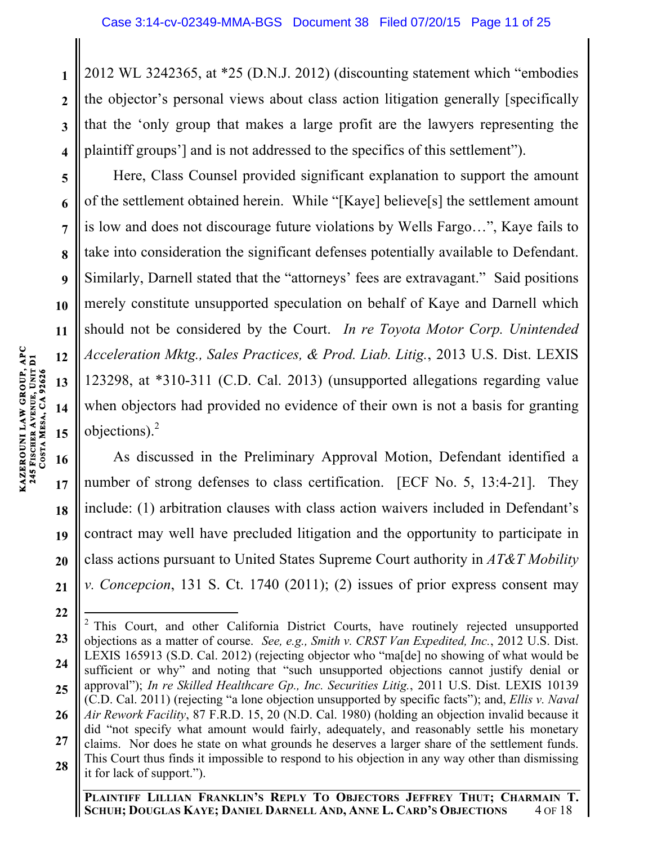2012 WL 3242365, at \*25 (D.N.J. 2012) (discounting statement which "embodies the objector's personal views about class action litigation generally [specifically that the 'only group that makes a large profit are the lawyers representing the plaintiff groups'] and is not addressed to the specifics of this settlement").

Here, Class Counsel provided significant explanation to support the amount of the settlement obtained herein. While "[Kaye] believe[s] the settlement amount is low and does not discourage future violations by Wells Fargo…", Kaye fails to take into consideration the significant defenses potentially available to Defendant. Similarly, Darnell stated that the "attorneys' fees are extravagant." Said positions merely constitute unsupported speculation on behalf of Kaye and Darnell which should not be considered by the Court. *In re Toyota Motor Corp. Unintended Acceleration Mktg., Sales Practices, & Prod. Liab. Litig.*, 2013 U.S. Dist. LEXIS 123298, at \*310-311 (C.D. Cal. 2013) (unsupported allegations regarding value when objectors had provided no evidence of their own is not a basis for granting objections). $2$ 

**21** As discussed in the Preliminary Approval Motion, Defendant identified a number of strong defenses to class certification. [ECF No. 5, 13:4-21]. They include: (1) arbitration clauses with class action waivers included in Defendant's contract may well have precluded litigation and the opportunity to participate in class actions pursuant to United States Supreme Court authority in *AT&T Mobility v. Concepcion*, 131 S. Ct. 1740 (2011); (2) issues of prior express consent may

**1**

**2**

**3**

**4**

**5**

**6**

**7**

**8**

**9**

**10**

**11**

**12**

**13**

**<sup>23</sup> 24 25 26 27 28**  $2$  This Court, and other California District Courts, have routinely rejected unsupported objections as a matter of course. *See, e.g., Smith v. CRST Van Expedited, Inc.*, 2012 U.S. Dist. LEXIS 165913 (S.D. Cal. 2012) (rejecting objector who "ma[de] no showing of what would be sufficient or why" and noting that "such unsupported objections cannot justify denial or approval"); *In re Skilled Healthcare Gp., Inc. Securities Litig.*, 2011 U.S. Dist. LEXIS 10139 (C.D. Cal. 2011) (rejecting "a lone objection unsupported by specific facts"); and, *Ellis v. Naval Air Rework Facility*, 87 F.R.D. 15, 20 (N.D. Cal. 1980) (holding an objection invalid because it did "not specify what amount would fairly, adequately, and reasonably settle his monetary claims. Nor does he state on what grounds he deserves a larger share of the settlement funds. This Court thus finds it impossible to respond to his objection in any way other than dismissing it for lack of support.").

**PLAINTIFF LILLIAN FRANKLIN'S REPLY TO OBJECTORS JEFFREY THUT; CHARMAIN T. SCHUH; DOUGLAS KAYE; DANIEL DARNELL AND, ANNE L. CARD'S OBJECTIONS** 4 OF 18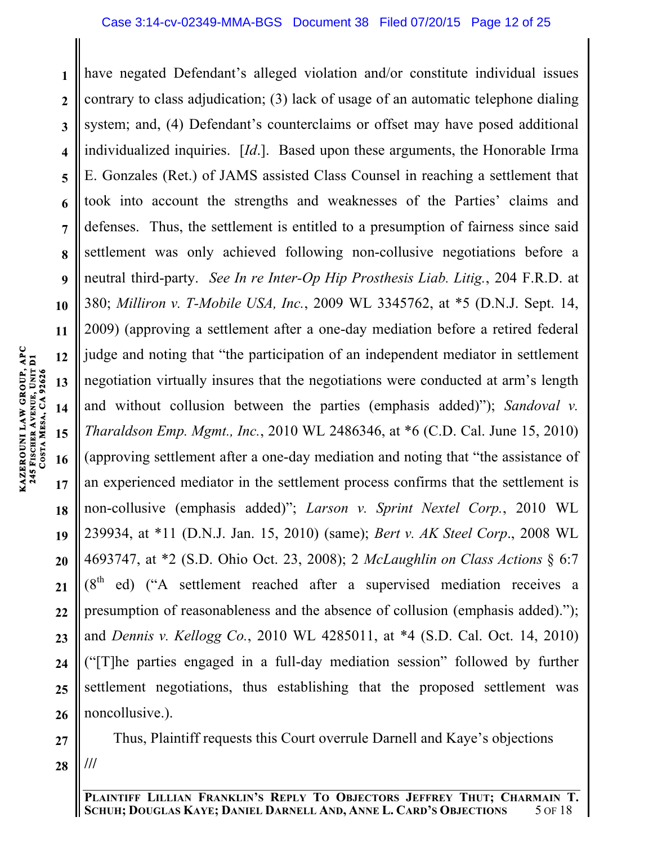**1 2 3 4 5 6 7 8 9 10 11 12 13 14 15** have negated Defendant's alleged violation and/or constitute individual issues contrary to class adjudication; (3) lack of usage of an automatic telephone dialing system; and, (4) Defendant's counterclaims or offset may have posed additional individualized inquiries. [*Id*.]. Based upon these arguments, the Honorable Irma E. Gonzales (Ret.) of JAMS assisted Class Counsel in reaching a settlement that took into account the strengths and weaknesses of the Parties' claims and defenses. Thus, the settlement is entitled to a presumption of fairness since said settlement was only achieved following non-collusive negotiations before a neutral third-party. *See In re Inter-Op Hip Prosthesis Liab. Litig.*, 204 F.R.D. at 380; *Milliron v. T-Mobile USA, Inc.*, 2009 WL 3345762, at \*5 (D.N.J. Sept. 14, 2009) (approving a settlement after a one-day mediation before a retired federal judge and noting that "the participation of an independent mediator in settlement negotiation virtually insures that the negotiations were conducted at arm's length and without collusion between the parties (emphasis added)"); *Sandoval v. Tharaldson Emp. Mgmt., Inc.*, 2010 WL 2486346, at \*6 (C.D. Cal. June 15, 2010) (approving settlement after a one-day mediation and noting that "the assistance of an experienced mediator in the settlement process confirms that the settlement is non-collusive (emphasis added)"; *Larson v. Sprint Nextel Corp.*, 2010 WL 239934, at \*11 (D.N.J. Jan. 15, 2010) (same); *Bert v. AK Steel Corp*., 2008 WL 4693747, at \*2 (S.D. Ohio Oct. 23, 2008); 2 *McLaughlin on Class Actions* § 6:7  $(8<sup>th</sup>$  ed) ("A settlement reached after a supervised mediation receives a presumption of reasonableness and the absence of collusion (emphasis added)."); and *Dennis v. Kellogg Co.*, 2010 WL 4285011, at \*4 (S.D. Cal. Oct. 14, 2010) ("[T]he parties engaged in a full-day mediation session" followed by further settlement negotiations, thus establishing that the proposed settlement was noncollusive.).

**28** Thus, Plaintiff requests this Court overrule Darnell and Kaye's objections **///**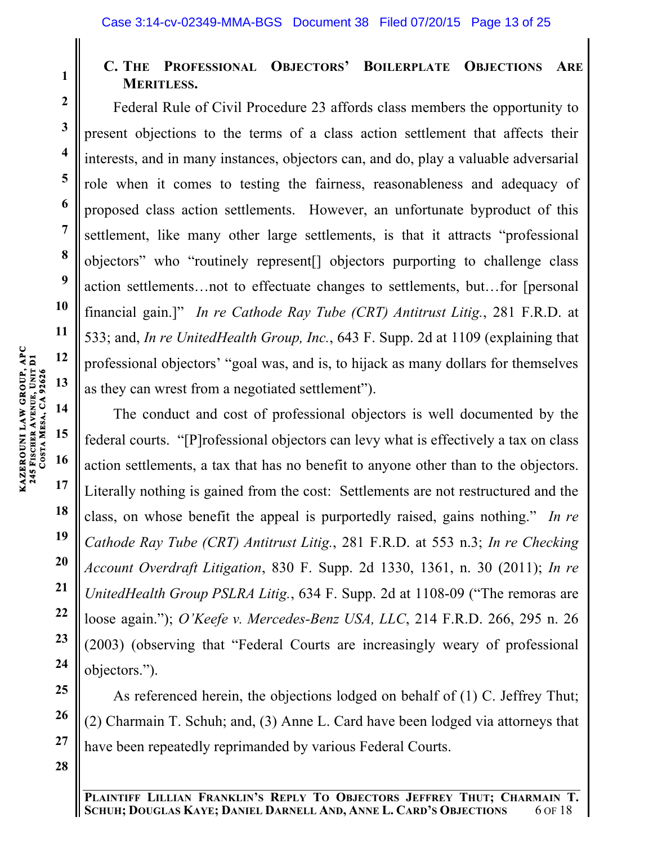# **C. THE PROFESSIONAL OBJECTORS' BOILERPLATE OBJECTIONS ARE MERITLESS.**

Federal Rule of Civil Procedure 23 affords class members the opportunity to present objections to the terms of a class action settlement that affects their interests, and in many instances, objectors can, and do, play a valuable adversarial role when it comes to testing the fairness, reasonableness and adequacy of proposed class action settlements. However, an unfortunate byproduct of this settlement, like many other large settlements, is that it attracts "professional objectors" who "routinely represent[] objectors purporting to challenge class action settlements…not to effectuate changes to settlements, but…for [personal financial gain.]" *In re Cathode Ray Tube (CRT) Antitrust Litig.*, 281 F.R.D. at 533; and, *In re UnitedHealth Group, Inc.*, 643 F. Supp. 2d at 1109 (explaining that professional objectors' "goal was, and is, to hijack as many dollars for themselves as they can wrest from a negotiated settlement").

The conduct and cost of professional objectors is well documented by the federal courts. "[P]rofessional objectors can levy what is effectively a tax on class action settlements, a tax that has no benefit to anyone other than to the objectors. Literally nothing is gained from the cost: Settlements are not restructured and the class, on whose benefit the appeal is purportedly raised, gains nothing." *In re Cathode Ray Tube (CRT) Antitrust Litig.*, 281 F.R.D. at 553 n.3; *In re Checking Account Overdraft Litigation*, 830 F. Supp. 2d 1330, 1361, n. 30 (2011); *In re UnitedHealth Group PSLRA Litig.*, 634 F. Supp. 2d at 1108-09 ("The remoras are loose again."); *O'Keefe v. Mercedes-Benz USA, LLC*, 214 F.R.D. 266, 295 n. 26 (2003) (observing that "Federal Courts are increasingly weary of professional objectors.").

As referenced herein, the objections lodged on behalf of (1) C. Jeffrey Thut; (2) Charmain T. Schuh; and, (3) Anne L. Card have been lodged via attorneys that have been repeatedly reprimanded by various Federal Courts.

**12 13 14 KAZEROUNI LAW GROUP, APC 245 FISCHER AVENUE, UNIT D1**  KAZEROUNI LAW GROUP, APC<br>245 FISCHER AVENUE, UNIT D1<br>COSTA MESA, CA 92626 **MESA, CA 92626** 

**1**

**2**

**3**

**4**

**5**

**6**

**7**

**8**

**9**

**10**

**11**

**LILLIAN FRANKLIN'S REPLY TO OBJECTORS JEFFREY THUT; CHARMAIN T. SCHUH; DOUGLAS KAYE; DANIEL DARNELL AND, ANNE L. CARD'S OBJECTIONS** 6 OF 18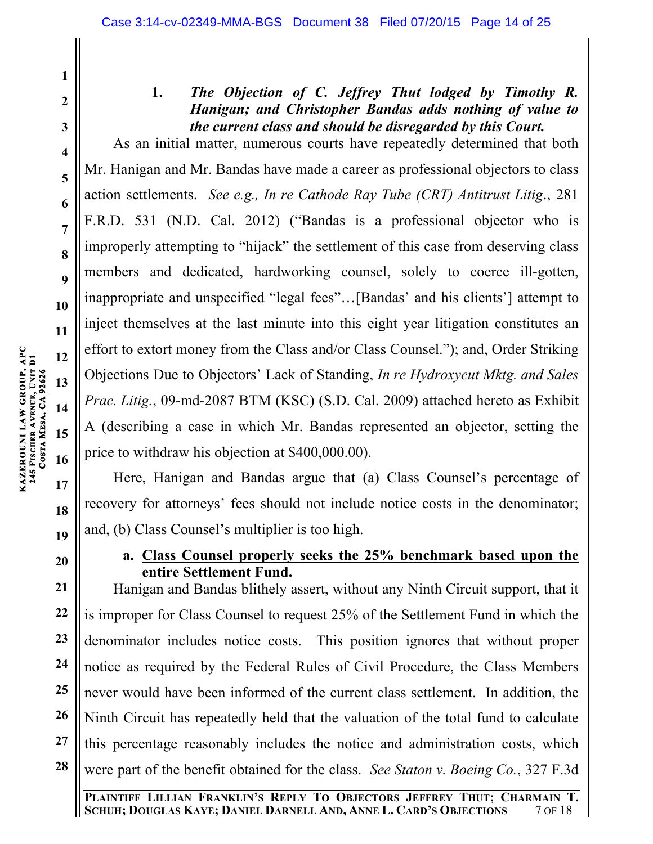## **1.** *The Objection of C. Jeffrey Thut lodged by Timothy R. Hanigan; and Christopher Bandas adds nothing of value to the current class and should be disregarded by this Court.*

As an initial matter, numerous courts have repeatedly determined that both Mr. Hanigan and Mr. Bandas have made a career as professional objectors to class action settlements. *See e.g., In re Cathode Ray Tube (CRT) Antitrust Litig*., 281 F.R.D. 531 (N.D. Cal. 2012) ("Bandas is a professional objector who is improperly attempting to "hijack" the settlement of this case from deserving class members and dedicated, hardworking counsel, solely to coerce ill-gotten, inappropriate and unspecified "legal fees"…[Bandas' and his clients'] attempt to inject themselves at the last minute into this eight year litigation constitutes an effort to extort money from the Class and/or Class Counsel."); and, Order Striking Objections Due to Objectors' Lack of Standing, *In re Hydroxycut Mktg. and Sales Prac. Litig.*, 09-md-2087 BTM (KSC) (S.D. Cal. 2009) attached hereto as Exhibit A (describing a case in which Mr. Bandas represented an objector, setting the price to withdraw his objection at \$400,000.00).

Here, Hanigan and Bandas argue that (a) Class Counsel's percentage of recovery for attorneys' fees should not include notice costs in the denominator; and, (b) Class Counsel's multiplier is too high.

## **a. Class Counsel properly seeks the 25% benchmark based upon the entire Settlement Fund.**

Hanigan and Bandas blithely assert, without any Ninth Circuit support, that it is improper for Class Counsel to request 25% of the Settlement Fund in which the denominator includes notice costs. This position ignores that without proper notice as required by the Federal Rules of Civil Procedure, the Class Members never would have been informed of the current class settlement. In addition, the Ninth Circuit has repeatedly held that the valuation of the total fund to calculate this percentage reasonably includes the notice and administration costs, which were part of the benefit obtained for the class. *See Staton v. Boeing Co.*, 327 F.3d

**1**

**2**

**3**

**4**

**5**

**6**

**7**

**8**

**9**

**10**

**11**

**12**

**13**

**14**

**17**

**18**

**19**

**20**

**21**

**22**

**23**

**24**

**25**

**26**

**27**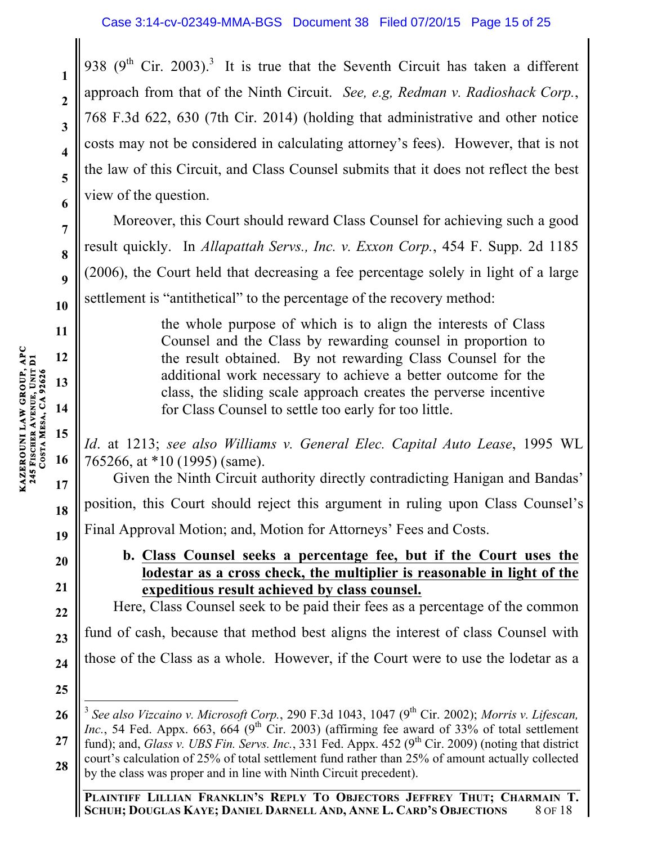938 (9<sup>th</sup> Cir. 2003).<sup>3</sup> It is true that the Seventh Circuit has taken a different approach from that of the Ninth Circuit. *See, e.g, Redman v. Radioshack Corp.*, 768 F.3d 622, 630 (7th Cir. 2014) (holding that administrative and other notice costs may not be considered in calculating attorney's fees). However, that is not the law of this Circuit, and Class Counsel submits that it does not reflect the best view of the question.

Moreover, this Court should reward Class Counsel for achieving such a good result quickly. In *Allapattah Servs., Inc. v. Exxon Corp.*, 454 F. Supp. 2d 1185 (2006), the Court held that decreasing a fee percentage solely in light of a large settlement is "antithetical" to the percentage of the recovery method:

> the whole purpose of which is to align the interests of Class Counsel and the Class by rewarding counsel in proportion to the result obtained. By not rewarding Class Counsel for the additional work necessary to achieve a better outcome for the class, the sliding scale approach creates the perverse incentive for Class Counsel to settle too early for too little.

*Id*. at 1213; *see also Williams v. General Elec. Capital Auto Lease*, 1995 WL 765266, at \*10 (1995) (same).

Given the Ninth Circuit authority directly contradicting Hanigan and Bandas' position, this Court should reject this argument in ruling upon Class Counsel's Final Approval Motion; and, Motion for Attorneys' Fees and Costs.

**b. Class Counsel seeks a percentage fee, but if the Court uses the lodestar as a cross check, the multiplier is reasonable in light of the expeditious result achieved by class counsel.**

Here, Class Counsel seek to be paid their fees as a percentage of the common fund of cash, because that method best aligns the interest of class Counsel with those of the Class as a whole. However, if the Court were to use the lodetar as a

**1**

**2**

**3**

**4**

**5**

**6**

**7**

**8**

**9**

**10**

**11**

**12**

**13**

**14**

**15**

**16**

**17**

**18**

**19**

**20**

**21**

**22**

**23**

**24**

**<sup>26</sup> 27 28** <sup>3</sup> See also Vizcaino v. Microsoft Corp., 290 F.3d 1043, 1047 (9<sup>th</sup> Cir. 2002); *Morris v. Lifescan*, *Inc.*, 54 Fed. Appx. 663, 664 (9<sup>th</sup> Cir. 2003) (affirming fee award of 33% of total settlement fund); and, *Glass v. UBS Fin. Servs. Inc.*, 331 Fed. Appx. 452 (9<sup>th</sup> Cir. 2009) (noting that district court's calculation of 25% of total settlement fund rather than 25% of amount actually collected by the class was proper and in line with Ninth Circuit precedent).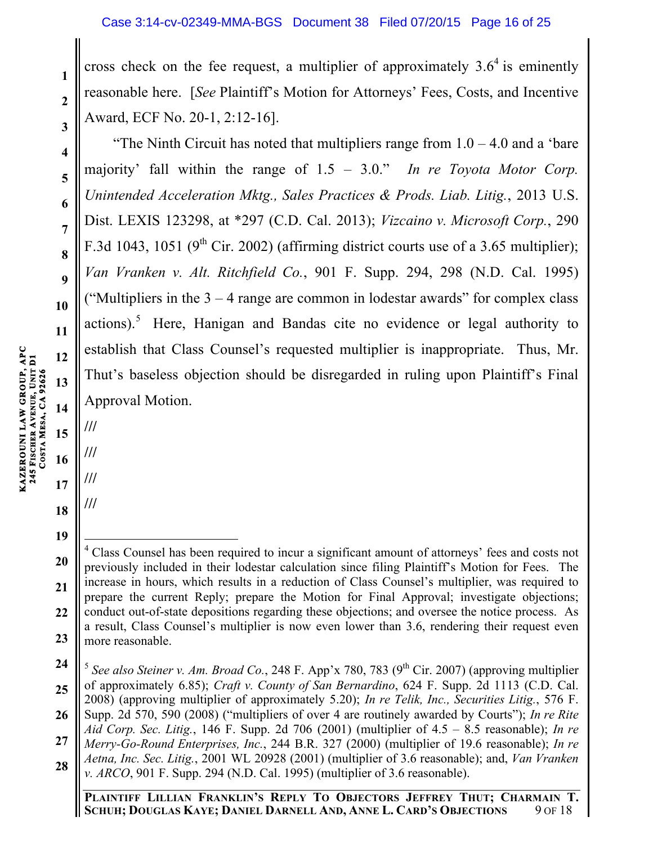cross check on the fee request, a multiplier of approximately  $3.6<sup>4</sup>$  is eminently reasonable here. [*See* Plaintiff's Motion for Attorneys' Fees, Costs, and Incentive Award, ECF No. 20-1, 2:12-16].

"The Ninth Circuit has noted that multipliers range from  $1.0 - 4.0$  and a 'bare' majority' fall within the range of 1.5 – 3.0." *In re Toyota Motor Corp. Unintended Acceleration Mktg., Sales Practices & Prods. Liab. Litig.*, 2013 U.S. Dist. LEXIS 123298, at \*297 (C.D. Cal. 2013); *Vizcaino v. Microsoft Corp.*, 290 F.3d 1043, 1051 (9<sup>th</sup> Cir. 2002) (affirming district courts use of a 3.65 multiplier); *Van Vranken v. Alt. Ritchfield Co.*, 901 F. Supp. 294, 298 (N.D. Cal. 1995) ("Multipliers in the  $3 - 4$  range are common in lodestar awards" for complex class actions).<sup>5</sup> Here, Hanigan and Bandas cite no evidence or legal authority to establish that Class Counsel's requested multiplier is inappropriate. Thus, Mr. Thut's baseless objection should be disregarded in ruling upon Plaintiff's Final Approval Motion.

**/// ///**

**///**

**///**

**18 19**

**KAZEROUNI LAW GROUP, APC** 

**1**

**2**

**3**

**4**

**5**

**6**

**7**

**8**

**<sup>20</sup> 21 22 23** i <sup>4</sup> Class Counsel has been required to incur a significant amount of attorneys' fees and costs not previously included in their lodestar calculation since filing Plaintiff's Motion for Fees. The increase in hours, which results in a reduction of Class Counsel's multiplier, was required to prepare the current Reply; prepare the Motion for Final Approval; investigate objections; conduct out-of-state depositions regarding these objections; and oversee the notice process. As a result, Class Counsel's multiplier is now even lower than 3.6, rendering their request even more reasonable.

**<sup>24</sup> 25 26**  $5$  *See also Steiner v. Am. Broad Co.*, 248 F. App'x 780, 783 (9<sup>th</sup> Cir. 2007) (approving multiplier of approximately 6.85); *Craft v. County of San Bernardino*, 624 F. Supp. 2d 1113 (C.D. Cal. 2008) (approving multiplier of approximately 5.20); *In re Telik, Inc., Securities Litig.*, 576 F. Supp. 2d 570, 590 (2008) ("multipliers of over 4 are routinely awarded by Courts"); *In re Rite Aid Corp. Sec. Litig.*, 146 F. Supp. 2d 706 (2001) (multiplier of 4.5 – 8.5 reasonable); *In re* 

**<sup>27</sup>** *Merry-Go-Round Enterprises, Inc.*, 244 B.R. 327 (2000) (multiplier of 19.6 reasonable); *In re Aetna, Inc. Sec. Litig.*, 2001 WL 20928 (2001) (multiplier of 3.6 reasonable); and, *Van Vranken* 

**<sup>28</sup>** *v. ARCO*, 901 F. Supp. 294 (N.D. Cal. 1995) (multiplier of 3.6 reasonable).

**PLAINTIFF LILLIAN FRANKLIN'S REPLY TO OBJECTORS JEFFREY THUT; CHARMAIN T. SCHUH; DOUGLAS KAYE; DANIEL DARNELL AND, ANNE L. CARD'S OBJECTIONS** 9 OF 18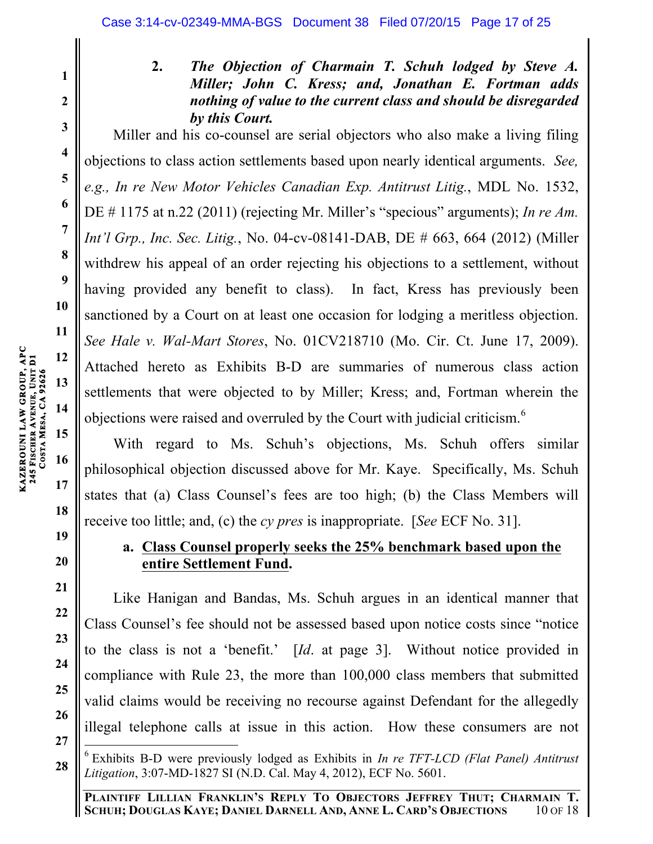# **2 3 4**

**5**

**6**

**7**

**8**

**9**

**10**

**11**

**18**

**19**

**20**

**21**

**22**

**23**

**24**

**25**

**26**

**27**

**1**

**2.** *The Objection of Charmain T. Schuh lodged by Steve A. Miller; John C. Kress; and, Jonathan E. Fortman adds nothing of value to the current class and should be disregarded by this Court.*

Miller and his co-counsel are serial objectors who also make a living filing objections to class action settlements based upon nearly identical arguments. *See, e.g., In re New Motor Vehicles Canadian Exp. Antitrust Litig.*, MDL No. 1532, DE # 1175 at n.22 (2011) (rejecting Mr. Miller's "specious" arguments); *In re Am. Int'l Grp., Inc. Sec. Litig.*, No. 04-cv-08141-DAB, DE # 663, 664 (2012) (Miller withdrew his appeal of an order rejecting his objections to a settlement, without having provided any benefit to class). In fact, Kress has previously been sanctioned by a Court on at least one occasion for lodging a meritless objection. *See Hale v. Wal-Mart Stores*, No. 01CV218710 (Mo. Cir. Ct. June 17, 2009). Attached hereto as Exhibits B-D are summaries of numerous class action settlements that were objected to by Miller; Kress; and, Fortman wherein the objections were raised and overruled by the Court with judicial criticism.<sup>6</sup>

With regard to Ms. Schuh's objections, Ms. Schuh offers similar philosophical objection discussed above for Mr. Kaye. Specifically, Ms. Schuh states that (a) Class Counsel's fees are too high; (b) the Class Members will receive too little; and, (c) the *cy pres* is inappropriate. [*See* ECF No. 31].

## **a. Class Counsel properly seeks the 25% benchmark based upon the entire Settlement Fund.**

Like Hanigan and Bandas, Ms. Schuh argues in an identical manner that Class Counsel's fee should not be assessed based upon notice costs since "notice to the class is not a 'benefit.' [*Id*. at page 3]. Without notice provided in compliance with Rule 23, the more than 100,000 class members that submitted valid claims would be receiving no recourse against Defendant for the allegedly illegal telephone calls at issue in this action. How these consumers are not

**<sup>28</sup>** <sup>6</sup> Exhibits B-D were previously lodged as Exhibits in *In re TFT-LCD (Flat Panel) Antitrust Litigation*, 3:07-MD-1827 SI (N.D. Cal. May 4, 2012), ECF No. 5601.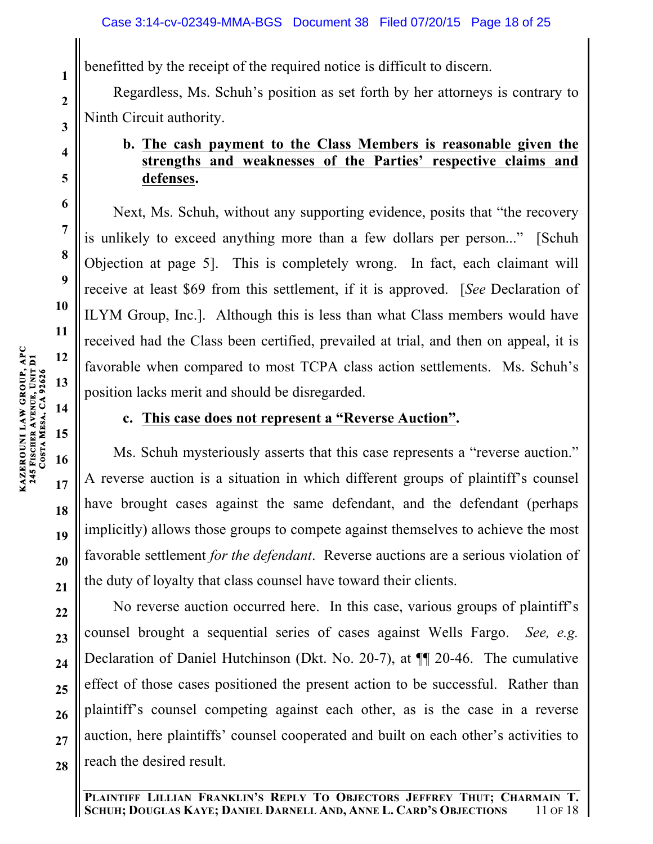benefitted by the receipt of the required notice is difficult to discern.

Regardless, Ms. Schuh's position as set forth by her attorneys is contrary to Ninth Circuit authority.

## **b. The cash payment to the Class Members is reasonable given the strengths and weaknesses of the Parties' respective claims and defenses.**

Next, Ms. Schuh, without any supporting evidence, posits that "the recovery is unlikely to exceed anything more than a few dollars per person..." [Schuh Objection at page 5]. This is completely wrong. In fact, each claimant will receive at least \$69 from this settlement, if it is approved. [*See* Declaration of ILYM Group, Inc.]. Although this is less than what Class members would have received had the Class been certified, prevailed at trial, and then on appeal, it is favorable when compared to most TCPA class action settlements. Ms. Schuh's position lacks merit and should be disregarded.

**c. This case does not represent a "Reverse Auction".**

Ms. Schuh mysteriously asserts that this case represents a "reverse auction." A reverse auction is a situation in which different groups of plaintiff's counsel have brought cases against the same defendant, and the defendant (perhaps implicitly) allows those groups to compete against themselves to achieve the most favorable settlement *for the defendant*. Reverse auctions are a serious violation of the duty of loyalty that class counsel have toward their clients.

No reverse auction occurred here. In this case, various groups of plaintiff's counsel brought a sequential series of cases against Wells Fargo. *See, e.g.*  Declaration of Daniel Hutchinson (Dkt. No. 20-7), at ¶¶ 20-46. The cumulative effect of those cases positioned the present action to be successful. Rather than plaintiff's counsel competing against each other, as is the case in a reverse auction, here plaintiffs' counsel cooperated and built on each other's activities to reach the desired result.

**1**

**2**

**3**

**4**

**5**

**6**

**7**

**8**

**9**

**10**

**11**

**12**

**13**

**14**

**15**

**16**

**17**

**18**

**19**

**20**

**21**

**22**

**23**

**24**

**25**

**26**

**27**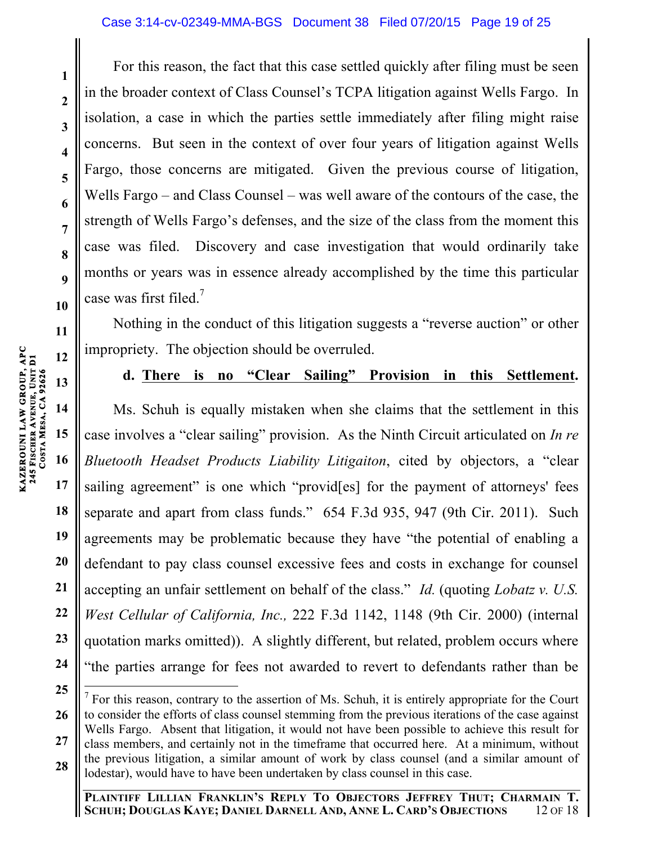For this reason, the fact that this case settled quickly after filing must be seen in the broader context of Class Counsel's TCPA litigation against Wells Fargo. In isolation, a case in which the parties settle immediately after filing might raise concerns. But seen in the context of over four years of litigation against Wells Fargo, those concerns are mitigated. Given the previous course of litigation, Wells Fargo – and Class Counsel – was well aware of the contours of the case, the strength of Wells Fargo's defenses, and the size of the class from the moment this case was filed. Discovery and case investigation that would ordinarily take months or years was in essence already accomplished by the time this particular case was first filed.<sup>7</sup>

Nothing in the conduct of this litigation suggests a "reverse auction" or other impropriety. The objection should be overruled.

# **13**

**1**

**2**

**3**

**4**

**5**

**6**

**7**

**8**

**9**

**10**

**11**

**12**

**14**

**15**

**17**

**18**

**19**

**20**

**21**

**22**

**23**

**24**

i

## **d. There is no "Clear Sailing" Provision in this Settlement.**

Ms. Schuh is equally mistaken when she claims that the settlement in this case involves a "clear sailing" provision. As the Ninth Circuit articulated on *In re Bluetooth Headset Products Liability Litigaiton*, cited by objectors, a "clear sailing agreement" is one which "provides] for the payment of attorneys' fees separate and apart from class funds." 654 F.3d 935, 947 (9th Cir. 2011). Such agreements may be problematic because they have "the potential of enabling a defendant to pay class counsel excessive fees and costs in exchange for counsel accepting an unfair settlement on behalf of the class." *Id.* (quoting *Lobatz v. U.S. West Cellular of California, Inc.,* 222 F.3d 1142, 1148 (9th Cir. 2000) (internal quotation marks omitted)). A slightly different, but related, problem occurs where "the parties arrange for fees not awarded to revert to defendants rather than be

**<sup>25</sup> 26 27 28** For this reason, contrary to the assertion of Ms. Schuh, it is entirely appropriate for the Court to consider the efforts of class counsel stemming from the previous iterations of the case against Wells Fargo. Absent that litigation, it would not have been possible to achieve this result for class members, and certainly not in the timeframe that occurred here. At a minimum, without the previous litigation, a similar amount of work by class counsel (and a similar amount of lodestar), would have to have been undertaken by class counsel in this case.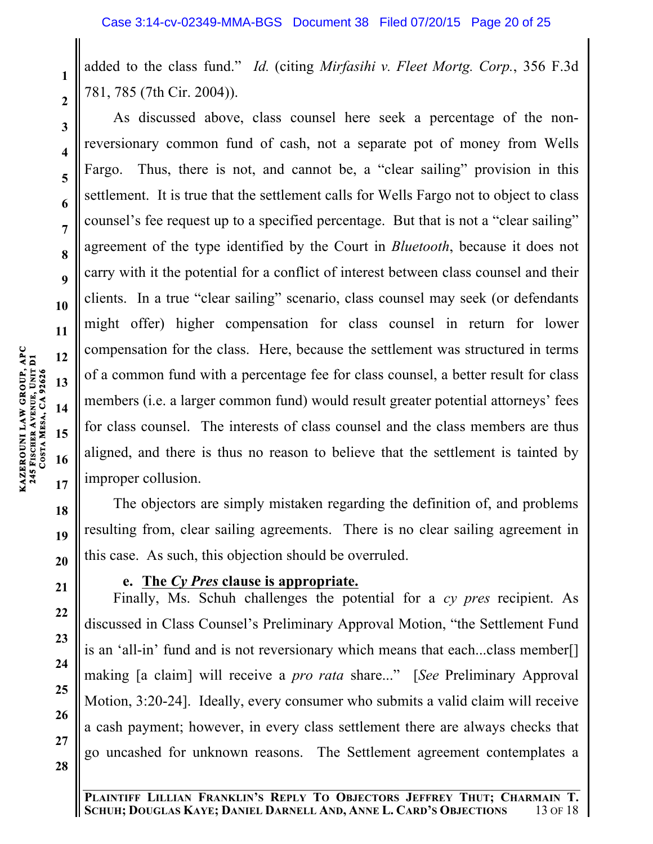added to the class fund." *Id.* (citing *Mirfasihi v. Fleet Mortg. Corp.*, 356 F.3d 781, 785 (7th Cir. 2004)).

As discussed above, class counsel here seek a percentage of the nonreversionary common fund of cash, not a separate pot of money from Wells Fargo. Thus, there is not, and cannot be, a "clear sailing" provision in this settlement. It is true that the settlement calls for Wells Fargo not to object to class counsel's fee request up to a specified percentage. But that is not a "clear sailing" agreement of the type identified by the Court in *Bluetooth*, because it does not carry with it the potential for a conflict of interest between class counsel and their clients. In a true "clear sailing" scenario, class counsel may seek (or defendants might offer) higher compensation for class counsel in return for lower compensation for the class. Here, because the settlement was structured in terms of a common fund with a percentage fee for class counsel, a better result for class members (i.e. a larger common fund) would result greater potential attorneys' fees for class counsel. The interests of class counsel and the class members are thus aligned, and there is thus no reason to believe that the settlement is tainted by improper collusion.

The objectors are simply mistaken regarding the definition of, and problems resulting from, clear sailing agreements. There is no clear sailing agreement in this case. As such, this objection should be overruled.

## **e. The** *Cy Pres* **clause is appropriate.**

Finally, Ms. Schuh challenges the potential for a *cy pres* recipient. As discussed in Class Counsel's Preliminary Approval Motion, "the Settlement Fund is an 'all-in' fund and is not reversionary which means that each...class member[] making [a claim] will receive a *pro rata* share..." [*See* Preliminary Approval Motion, 3:20-24]. Ideally, every consumer who submits a valid claim will receive a cash payment; however, in every class settlement there are always checks that go uncashed for unknown reasons. The Settlement agreement contemplates a

**1**

**2**

**3**

**4**

**5**

**6**

**7**

**8**

**9**

**10**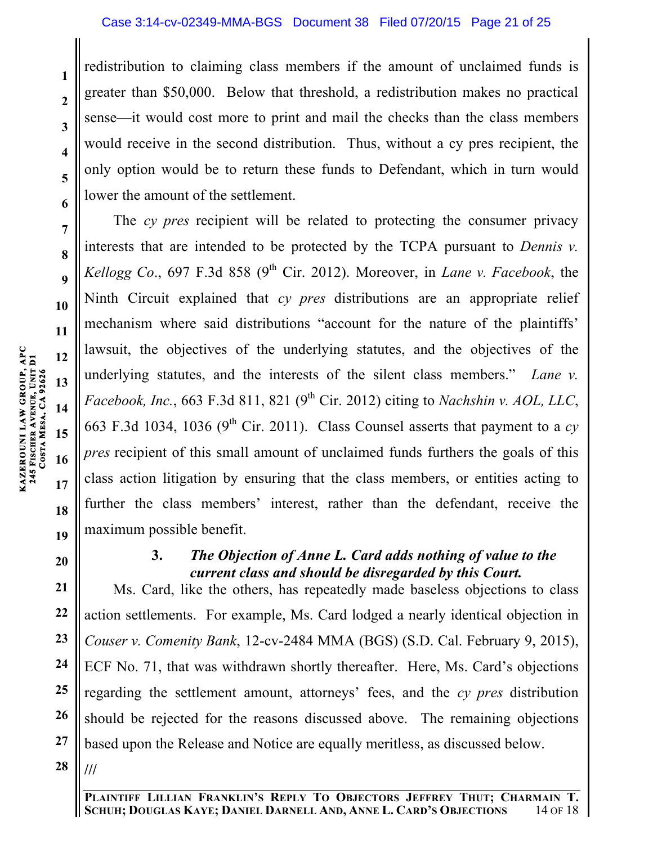redistribution to claiming class members if the amount of unclaimed funds is greater than \$50,000. Below that threshold, a redistribution makes no practical sense—it would cost more to print and mail the checks than the class members would receive in the second distribution. Thus, without a cy pres recipient, the only option would be to return these funds to Defendant, which in turn would lower the amount of the settlement.

The *cy pres* recipient will be related to protecting the consumer privacy interests that are intended to be protected by the TCPA pursuant to *Dennis v. Kellogg Co.*, 697 F.3d 858 (9<sup>th</sup> Cir. 2012). Moreover, in *Lane v. Facebook*, the Ninth Circuit explained that *cy pres* distributions are an appropriate relief mechanism where said distributions "account for the nature of the plaintiffs' lawsuit, the objectives of the underlying statutes, and the objectives of the underlying statutes, and the interests of the silent class members." *Lane v. Facebook, Inc.*, 663 F.3d 811, 821 (9<sup>th</sup> Cir. 2012) citing to *Nachshin v. AOL, LLC*, 663 F.3d 1034, 1036 (9<sup>th</sup> Cir. 2011). Class Counsel asserts that payment to a  $cy$ *pres* recipient of this small amount of unclaimed funds furthers the goals of this class action litigation by ensuring that the class members, or entities acting to further the class members' interest, rather than the defendant, receive the maximum possible benefit.

**20**

## **3.** *The Objection of Anne L. Card adds nothing of value to the current class and should be disregarded by this Court.*

**21 22 23 24 25 26 27 28** Ms. Card, like the others, has repeatedly made baseless objections to class action settlements. For example, Ms. Card lodged a nearly identical objection in *Couser v. Comenity Bank*, 12-cv-2484 MMA (BGS) (S.D. Cal. February 9, 2015), ECF No. 71, that was withdrawn shortly thereafter. Here, Ms. Card's objections regarding the settlement amount, attorneys' fees, and the *cy pres* distribution should be rejected for the reasons discussed above. The remaining objections based upon the Release and Notice are equally meritless, as discussed below. **///**

**1**

**2**

**3**

**4**

**5**

**6**

**7**

**8**

**9**

**10**

**11**

**12**

**13**

**14**

**15**

**16**

**17**

**18**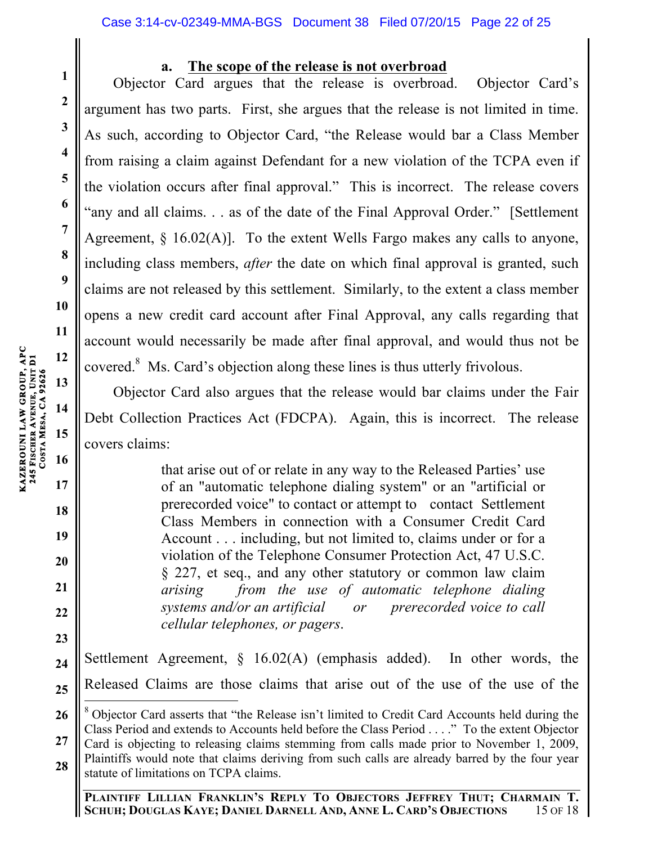### **a. The scope of the release is not overbroad**

Objector Card argues that the release is overbroad. Objector Card's argument has two parts. First, she argues that the release is not limited in time. As such, according to Objector Card, "the Release would bar a Class Member from raising a claim against Defendant for a new violation of the TCPA even if the violation occurs after final approval." This is incorrect. The release covers "any and all claims. . . as of the date of the Final Approval Order." [Settlement Agreement,  $\S$  16.02(A)]. To the extent Wells Fargo makes any calls to anyone, including class members, *after* the date on which final approval is granted, such claims are not released by this settlement. Similarly, to the extent a class member opens a new credit card account after Final Approval, any calls regarding that account would necessarily be made after final approval, and would thus not be covered.<sup>8</sup> Ms. Card's objection along these lines is thus utterly frivolous.

Objector Card also argues that the release would bar claims under the Fair Debt Collection Practices Act (FDCPA). Again, this is incorrect. The release covers claims:

> that arise out of or relate in any way to the Released Parties' use of an "automatic telephone dialing system" or an "artificial or prerecorded voice" to contact or attempt to contact Settlement Class Members in connection with a Consumer Credit Card Account . . . including, but not limited to, claims under or for a violation of the Telephone Consumer Protection Act, 47 U.S.C. § 227, et seq., and any other statutory or common law claim *arising from the use of automatic telephone dialing systems and/or an artificial or prerecorded voice to call cellular telephones, or pagers*.

**24 25** Settlement Agreement, § 16.02(A) (emphasis added). In other words, the Released Claims are those claims that arise out of the use of the use of the

**PLAINTIFF LILLIAN FRANKLIN'S REPLY TO OBJECTORS JEFFREY THUT; CHARMAIN T. SCHUH; DOUGLAS KAYE; DANIEL DARNELL AND, ANNE L. CARD'S OBJECTIONS** 15 OF 18

**1**

**2**

**3**

**4**

**5**

**6**

**7**

**8**

**9**

**10**

**11**

**17**

**18**

**19**

**20**

**21**

**22**

**<sup>26</sup> 27 28** <sup>8</sup> Objector Card asserts that "the Release isn't limited to Credit Card Accounts held during the Class Period and extends to Accounts held before the Class Period . . . ." To the extent Objector Card is objecting to releasing claims stemming from calls made prior to November 1, 2009, Plaintiffs would note that claims deriving from such calls are already barred by the four year statute of limitations on TCPA claims.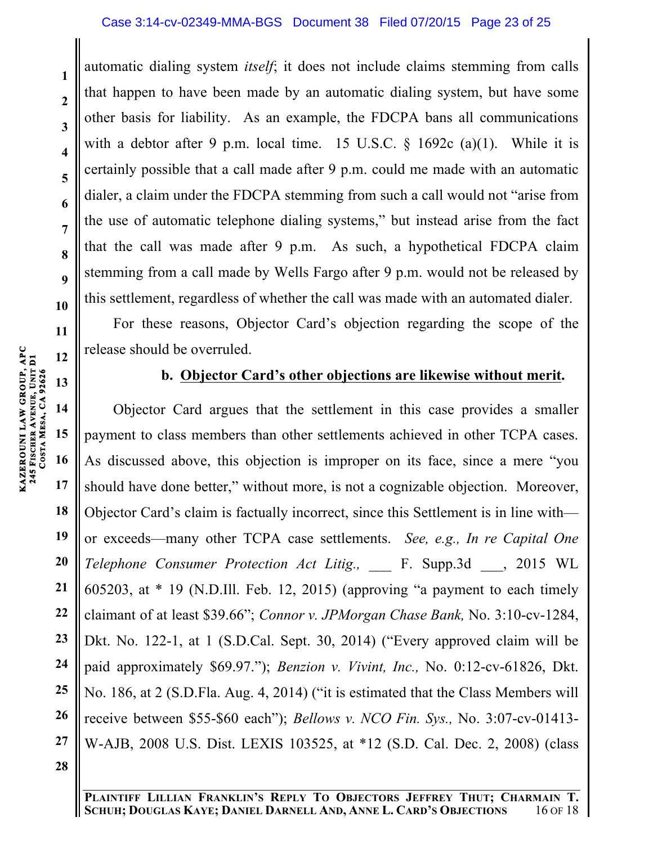#### Case 3:14-cv-02349-MMA-BGS Document 38 Filed 07/20/15 Page 23 of 25

automatic dialing system *itself*; it does not include claims stemming from calls that happen to have been made by an automatic dialing system, but have some other basis for liability. As an example, the FDCPA bans all communications with a debtor after 9 p.m. local time. 15 U.S.C.  $\S$  1692c (a)(1). While it is certainly possible that a call made after 9 p.m. could me made with an automatic dialer, a claim under the FDCPA stemming from such a call would not "arise from the use of automatic telephone dialing systems," but instead arise from the fact that the call was made after 9 p.m. As such, a hypothetical FDCPA claim stemming from a call made by Wells Fargo after 9 p.m. would not be released by this settlement, regardless of whether the call was made with an automated dialer.

For these reasons, Objector Card's objection regarding the scope of the release should be overruled.

### **b. Objector Card's other objections are likewise without merit.**

**14 15 16 17 18 19 20 21 22 23 24 25 26 27 28** Objector Card argues that the settlement in this case provides a smaller payment to class members than other settlements achieved in other TCPA cases. As discussed above, this objection is improper on its face, since a mere "you should have done better," without more, is not a cognizable objection. Moreover, Objector Card's claim is factually incorrect, since this Settlement is in line with or exceeds—many other TCPA case settlements. *See, e.g., In re Capital One Telephone Consumer Protection Act Litig.,* \_\_\_ F. Supp.3d \_\_\_, 2015 WL 605203, at  $*$  19 (N.D.Ill. Feb. 12, 2015) (approving "a payment to each timely claimant of at least \$39.66"; *Connor v. JPMorgan Chase Bank,* No. 3:10-cv-1284, Dkt. No. 122-1, at 1 (S.D.Cal. Sept. 30, 2014) ("Every approved claim will be paid approximately \$69.97."); *Benzion v. Vivint, Inc.,* No. 0:12-cv-61826, Dkt. No. 186, at 2 (S.D.Fla. Aug. 4, 2014) ("it is estimated that the Class Members will receive between \$55-\$60 each"); *Bellows v. NCO Fin. Sys.,* No. 3:07-cv-01413- W-AJB, 2008 U.S. Dist. LEXIS 103525, at \*12 (S.D. Cal. Dec. 2, 2008) (class

**1**

**2**

**3**

**4**

**5**

**6**

**7**

**8**

**9**

**10**

**11**

**12**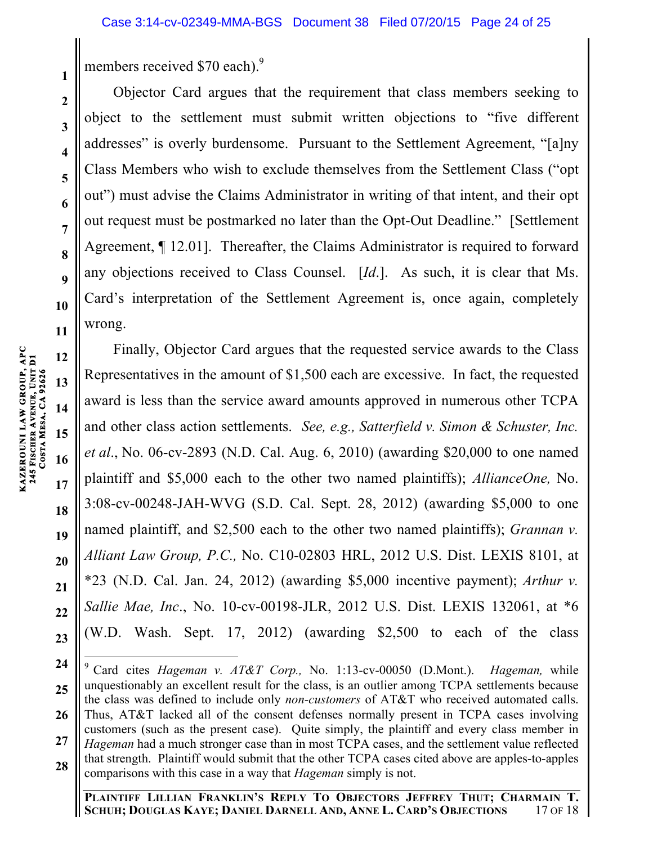members received \$70 each).<sup>9</sup>

Objector Card argues that the requirement that class members seeking to object to the settlement must submit written objections to "five different addresses" is overly burdensome. Pursuant to the Settlement Agreement, "[a]ny Class Members who wish to exclude themselves from the Settlement Class ("opt out") must advise the Claims Administrator in writing of that intent, and their opt out request must be postmarked no later than the Opt-Out Deadline." [Settlement Agreement, ¶ 12.01]. Thereafter, the Claims Administrator is required to forward any objections received to Class Counsel. [*Id*.]. As such, it is clear that Ms. Card's interpretation of the Settlement Agreement is, once again, completely wrong.

Finally, Objector Card argues that the requested service awards to the Class Representatives in the amount of \$1,500 each are excessive. In fact, the requested award is less than the service award amounts approved in numerous other TCPA and other class action settlements. *See, e.g., Satterfield v. Simon & Schuster, Inc. et al*., No. 06-cv-2893 (N.D. Cal. Aug. 6, 2010) (awarding \$20,000 to one named plaintiff and \$5,000 each to the other two named plaintiffs); *AllianceOne,* No. 3:08-cv-00248-JAH-WVG (S.D. Cal. Sept. 28, 2012) (awarding \$5,000 to one named plaintiff, and \$2,500 each to the other two named plaintiffs); *Grannan v. Alliant Law Group, P.C.,* No. C10-02803 HRL, 2012 U.S. Dist. LEXIS 8101, at \*23 (N.D. Cal. Jan. 24, 2012) (awarding \$5,000 incentive payment); *Arthur v. Sallie Mae, Inc*., No. 10-cv-00198-JLR, 2012 U.S. Dist. LEXIS 132061, at \*6 (W.D. Wash. Sept. 17, 2012) (awarding \$2,500 to each of the class

**1**

**2**

**3**

**4**

**5**

**6**

**7**

**8**

**9**

**10**

**11**

**12**

**13**

**14**

**15**

**16**

**17**

**18**

**19**

**20**

**21**

**22**

**23**

**<sup>24</sup> 25 26 27 28** <sup>9</sup> Card cites *Hageman v. AT&T Corp.,* No. 1:13-cv-00050 (D.Mont.). *Hageman,* while unquestionably an excellent result for the class, is an outlier among TCPA settlements because the class was defined to include only *non-customers* of AT&T who received automated calls. Thus, AT&T lacked all of the consent defenses normally present in TCPA cases involving customers (such as the present case). Quite simply, the plaintiff and every class member in *Hageman* had a much stronger case than in most TCPA cases, and the settlement value reflected that strength. Plaintiff would submit that the other TCPA cases cited above are apples-to-apples comparisons with this case in a way that *Hageman* simply is not.